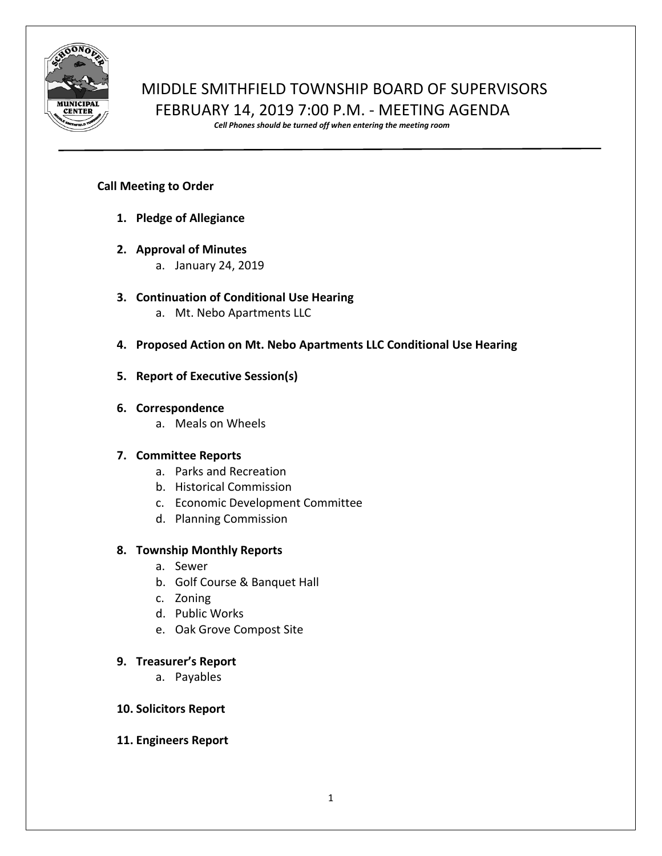

# MIDDLE SMITHFIELD TOWNSHIP BOARD OF SUPERVISORS FEBRUARY 14, 2019 7:00 P.M. - MEETING AGENDA

*Cell Phones should be turned off when entering the meeting room*

## **Call Meeting to Order**

- **1. Pledge of Allegiance**
- **2. Approval of Minutes**
	- a. January 24, 2019
- **3. Continuation of Conditional Use Hearing**
	- a. Mt. Nebo Apartments LLC
- **4. Proposed Action on Mt. Nebo Apartments LLC Conditional Use Hearing**
- **5. Report of Executive Session(s)**

## **6. Correspondence**

a. Meals on Wheels

# **7. Committee Reports**

- a. Parks and Recreation
- b. Historical Commission
- c. Economic Development Committee
- d. Planning Commission

# **8. Township Monthly Reports**

- a. Sewer
- b. Golf Course & Banquet Hall
- c. Zoning
- d. Public Works
- e. Oak Grove Compost Site

## **9. Treasurer's Report**

a. Payables

## **10. Solicitors Report**

**11. Engineers Report**